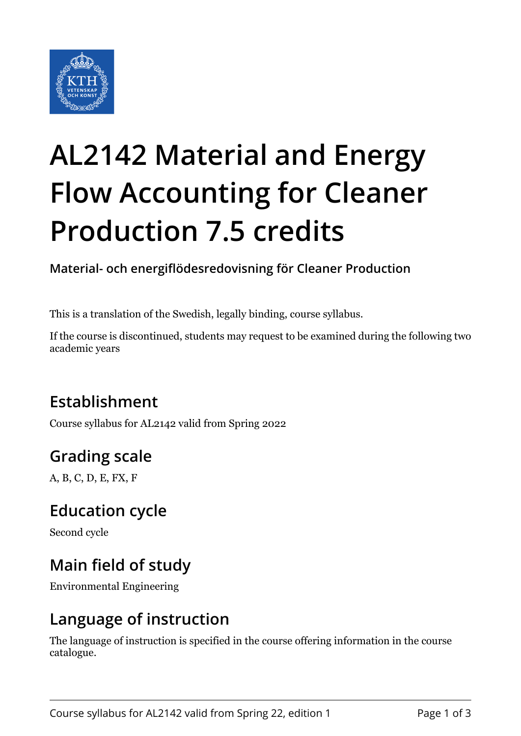

# **AL2142 Material and Energy Flow Accounting for Cleaner Production 7.5 credits**

**Material- och energiflödesredovisning för Cleaner Production**

This is a translation of the Swedish, legally binding, course syllabus.

If the course is discontinued, students may request to be examined during the following two academic years

# **Establishment**

Course syllabus for AL2142 valid from Spring 2022

# **Grading scale**

A, B, C, D, E, FX, F

#### **Education cycle**

Second cycle

# **Main field of study**

Environmental Engineering

#### **Language of instruction**

The language of instruction is specified in the course offering information in the course catalogue.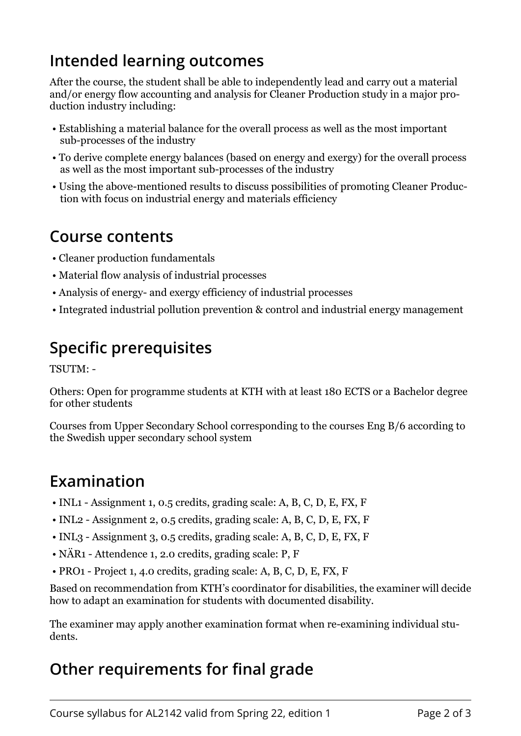#### **Intended learning outcomes**

After the course, the student shall be able to independently lead and carry out a material and/or energy flow accounting and analysis for Cleaner Production study in a major production industry including:

- Establishing a material balance for the overall process as well as the most important sub-processes of the industry
- To derive complete energy balances (based on energy and exergy) for the overall process as well as the most important sub-processes of the industry
- Using the above-mentioned results to discuss possibilities of promoting Cleaner Production with focus on industrial energy and materials efficiency

#### **Course contents**

- Cleaner production fundamentals
- Material flow analysis of industrial processes
- Analysis of energy- and exergy efficiency of industrial processes
- Integrated industrial pollution prevention & control and industrial energy management

# **Specific prerequisites**

TSUTM: -

Others: Open for programme students at KTH with at least 180 ECTS or a Bachelor degree for other students

Courses from Upper Secondary School corresponding to the courses Eng B/6 according to the Swedish upper secondary school system

#### **Examination**

- INL1 Assignment 1, 0.5 credits, grading scale: A, B, C, D, E, FX, F
- INL2 Assignment 2, 0.5 credits, grading scale: A, B, C, D, E, FX, F
- INL3 Assignment 3, 0.5 credits, grading scale: A, B, C, D, E, FX, F
- NÄR1 Attendence 1, 2.0 credits, grading scale: P, F
- PRO1 Project 1, 4.0 credits, grading scale: A, B, C, D, E, FX, F

Based on recommendation from KTH's coordinator for disabilities, the examiner will decide how to adapt an examination for students with documented disability.

The examiner may apply another examination format when re-examining individual students.

# **Other requirements for final grade**